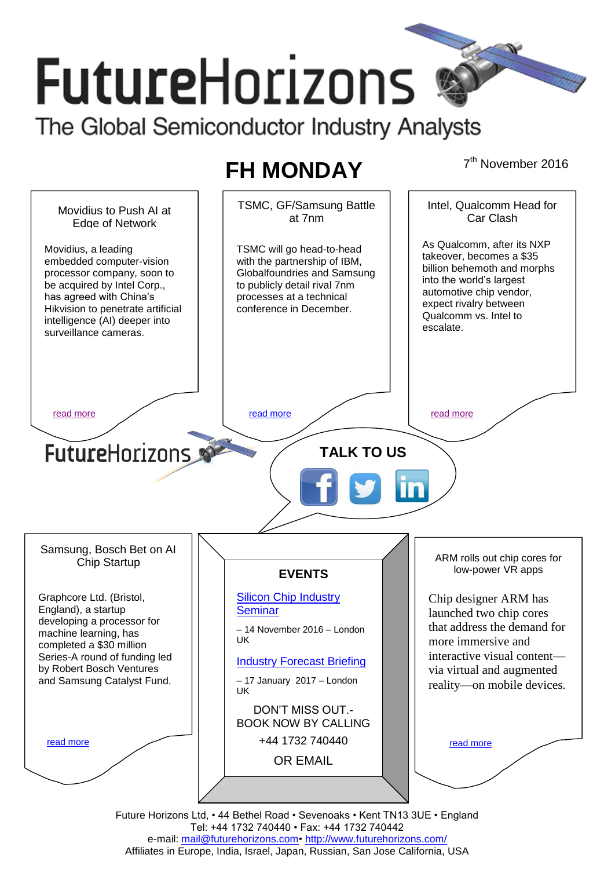# **FutureHorizons** The Global Semiconductor Industry Analysts

## **FH MONDAY**

7<sup>th</sup> November 2016



e-mail: mail@futurehorizons.com• http://www.futurehorizons.com/ Affiliates in Europe, India, Israel, Japan, Russian, San Jose California, USA